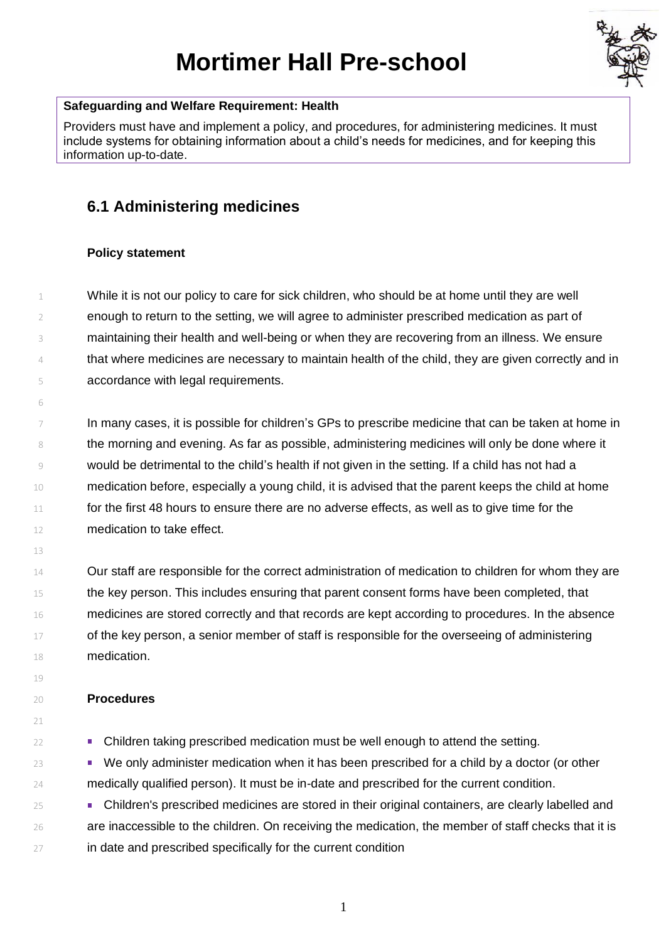# **Mortimer Hall Pre-school**



### **Safeguarding and Welfare Requirement: Health**

Providers must have and implement a policy, and procedures, for administering medicines. It must include systems for obtaining information about a child's needs for medicines, and for keeping this information up-to-date.

# **6.1 Administering medicines**

# **Policy statement**

 While it is not our policy to care for sick children, who should be at home until they are well enough to return to the setting, we will agree to administer prescribed medication as part of maintaining their health and well-being or when they are recovering from an illness. We ensure that where medicines are necessary to maintain health of the child, they are given correctly and in accordance with legal requirements.

 In many cases, it is possible for children's GPs to prescribe medicine that can be taken at home in the morning and evening. As far as possible, administering medicines will only be done where it 9 would be detrimental to the child's health if not given in the setting. If a child has not had a medication before, especially a young child, it is advised that the parent keeps the child at home 11 for the first 48 hours to ensure there are no adverse effects, as well as to give time for the medication to take effect.

 Our staff are responsible for the correct administration of medication to children for whom they are 15 the key person. This includes ensuring that parent consent forms have been completed, that medicines are stored correctly and that records are kept according to procedures. In the absence 17 of the key person, a senior member of staff is responsible for the overseeing of administering medication.

#### **Procedures**

Children taking prescribed medication must be well enough to attend the setting.

<sup>23</sup> We only administer medication when it has been prescribed for a child by a doctor (or other medically qualified person). It must be in-date and prescribed for the current condition.

 Children's prescribed medicines are stored in their original containers, are clearly labelled and are inaccessible to the children. On receiving the medication, the member of staff checks that it is in date and prescribed specifically for the current condition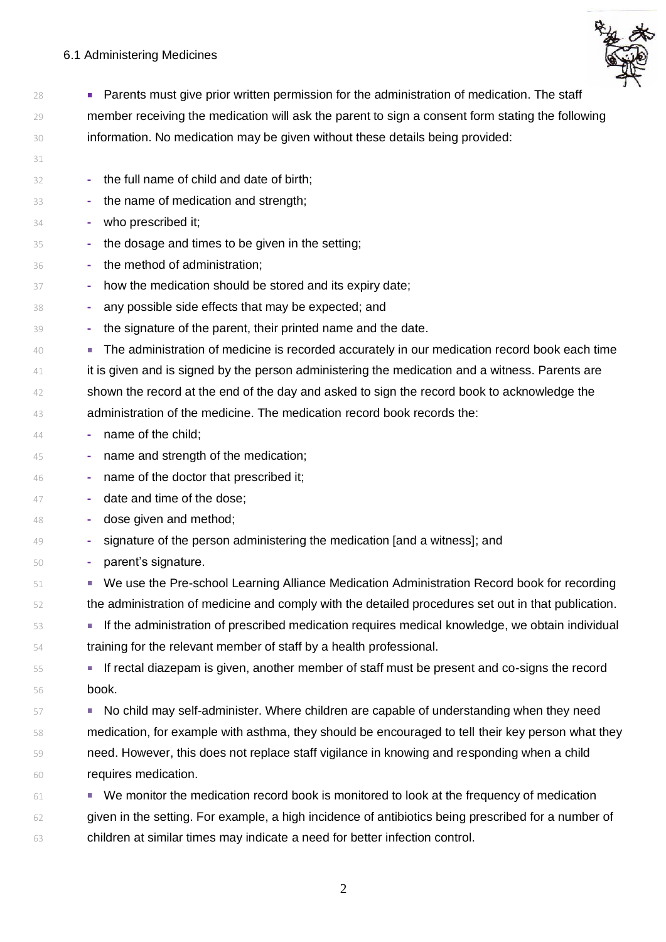# 6.1 Administering Medicines



 Parents must give prior written permission for the administration of medication. The staff member receiving the medication will ask the parent to sign a consent form stating the following information. No medication may be given without these details being provided: **-** the full name of child and date of birth; **-** the name of medication and strength; **-** who prescribed it; **-** the dosage and times to be given in the setting; **-** the method of administration; **-** how the medication should be stored and its expiry date; **-** any possible side effects that may be expected; and **-** the signature of the parent, their printed name and the date. The administration of medicine is recorded accurately in our medication record book each time <sup>41</sup> it is given and is signed by the person administering the medication and a witness. Parents are shown the record at the end of the day and asked to sign the record book to acknowledge the administration of the medicine. The medication record book records the: **-** name of the child; **-** name and strength of the medication; **-** name of the doctor that prescribed it; **-** date and time of the dose; **-** dose given and method; **-** signature of the person administering the medication [and a witness]; and **-** parent's signature. We use the Pre-school Learning Alliance Medication Administration Record book for recording the administration of medicine and comply with the detailed procedures set out in that publication. If the administration of prescribed medication requires medical knowledge, we obtain individual training for the relevant member of staff by a health professional. If rectal diazepam is given, another member of staff must be present and co-signs the record book. 57 No child may self-administer. Where children are capable of understanding when they need medication, for example with asthma, they should be encouraged to tell their key person what they need. However, this does not replace staff vigilance in knowing and responding when a child requires medication. 61 We monitor the medication record book is monitored to look at the frequency of medication given in the setting. For example, a high incidence of antibiotics being prescribed for a number of children at similar times may indicate a need for better infection control.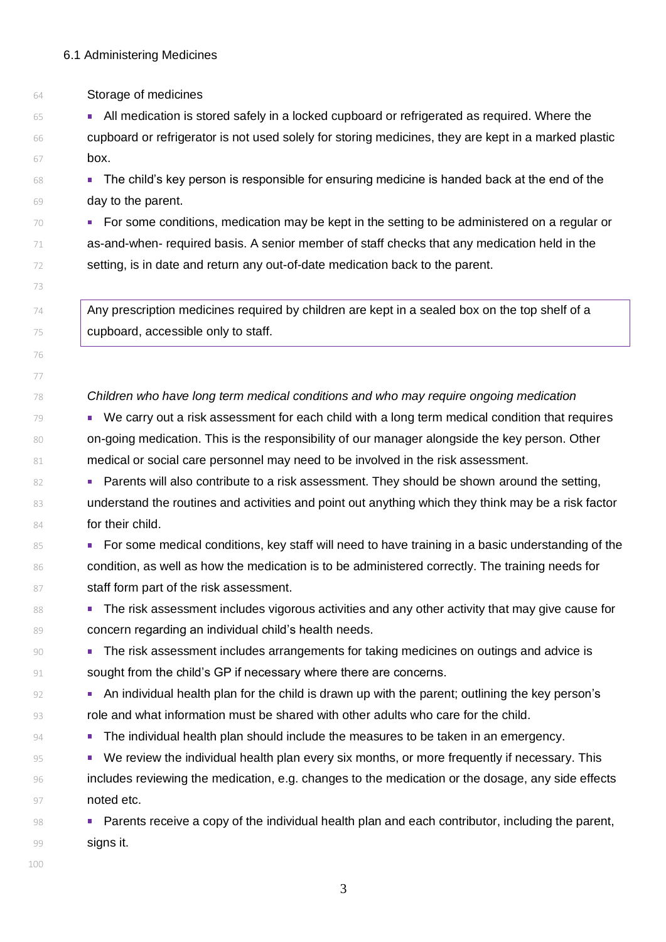Storage of medicines

**All medication is stored safely in a locked cupboard or refrigerated as required. Where the**  cupboard or refrigerator is not used solely for storing medicines, they are kept in a marked plastic box.

 The child's key person is responsible for ensuring medicine is handed back at the end of the day to the parent.

 For some conditions, medication may be kept in the setting to be administered on a regular or as-and-when- required basis. A senior member of staff checks that any medication held in the setting, is in date and return any out-of-date medication back to the parent.

 $\frac{1}{4}$  Any prescription medicines required by children are kept in a sealed box on the top shelf of a cupboard, accessible only to staff.

*Children who have long term medical conditions and who may require ongoing medication*

79 We carry out a risk assessment for each child with a long term medical condition that requires on-going medication. This is the responsibility of our manager alongside the key person. Other 81 medical or social care personnel may need to be involved in the risk assessment.

**Parents will also contribute to a risk assessment. They should be shown around the setting,** 83 understand the routines and activities and point out anything which they think may be a risk factor **for their child.** 

85 For some medical conditions, key staff will need to have training in a basic understanding of the 86 condition, as well as how the medication is to be administered correctly. The training needs for 87 staff form part of the risk assessment.

88 The risk assessment includes vigorous activities and any other activity that may give cause for 89 concern regarding an individual child's health needs.

 The risk assessment includes arrangements for taking medicines on outings and advice is 91 sought from the child's GP if necessary where there are concerns.

 An individual health plan for the child is drawn up with the parent; outlining the key person's 93 role and what information must be shared with other adults who care for the child.

**Figure 10 The individual health plan should include the measures to be taken in an emergency.** 

95 We review the individual health plan every six months, or more frequently if necessary. This includes reviewing the medication, e.g. changes to the medication or the dosage, any side effects **noted etc.** 

 Parents receive a copy of the individual health plan and each contributor, including the parent, **signs it.**